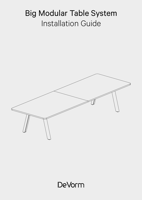# Big Modular Table System Installation Guide



DeVorm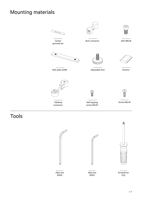### Mounting materials



Tools





Allen key BZK5



Screwdriver PZ2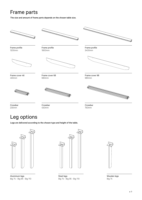### Frame parts

The size and amount of frame parts depends on the chosen table size.



### Leg options

Legs are delivered according to the chosen type and height of the table.



Aluminium legs Big 74 - Big 95 - Big 110



Steel legs Big 74 - Big 95 - Big 110



Wooden legs Big 74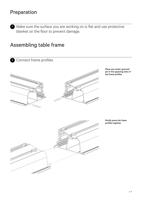### Preparation

1 Make sure the surface you are working on is flat and use protective blanket on the floor to prevent damage.

#### Assembling table frame

2 Connect frame profiles





Place one center-grooved pin in the opposing slots of the frame profiles

Stirdly press the frame profiles together.

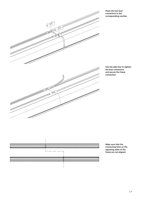

Place the two butt connectors in the corresponding cavities

Use the allen key to tighten the butt connectors and secure the frame connection



Make sure that the connecting lines on the opposing sides of the frame are not aligned.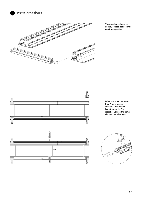

<sup>3</sup> Insert crossbars

The crossbars should be equally spaced between the two frame profiles



When the table has more than 4 legs, please, consider the crossbar layout carefully. The crossbar utilizes the same slots as the table legs



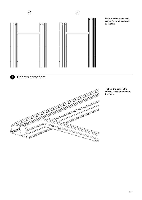

Make sure the frame ends are perfectly aligned with each other



4 Tighten crossbars



Tighten the bolts in the crossbar to secure them to the frame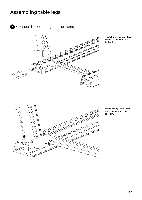### Assembling table legs

**5** Connect the outer legs to the frame



The table legs on the edges need to be mounted with 2 bolt plates.



Fasten the legs to the frame using the bolts and the allen key.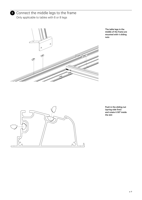![](_page_8_Picture_0.jpeg)

**6** Connect the middle legs to the frame Only applicable to tables with 6 or 8 legs

![](_page_8_Picture_2.jpeg)

The table legs in the middle of the frame are mounted with 4 sliding nuts

![](_page_8_Figure_4.jpeg)

Push in the sliding nut (spring side first) and rotate it 90º inside the slot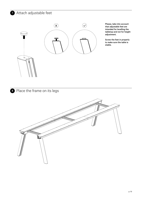#### **7** Attach adjustable feet

![](_page_9_Picture_1.jpeg)

![](_page_9_Picture_2.jpeg)

![](_page_9_Picture_3.jpeg)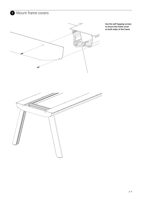**9** Mount frame covers

![](_page_10_Picture_1.jpeg)

Use the self-tapping screws to mount the frame cover on both sides of the frame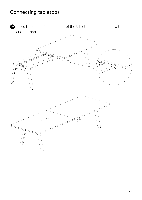### Connecting tabletops

**10** Place the domino's in one part of the tabletop and connect it with another part

![](_page_11_Picture_2.jpeg)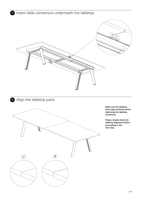![](_page_12_Picture_0.jpeg)

![](_page_12_Picture_1.jpeg)

#### <sup>12</sup> Align the tabletop parts

![](_page_12_Picture_3.jpeg)

Make sure the tabletop parts align perfectly before tightening the tabletop connectors

Please, double check the tabletop alignment before proceeding to the next step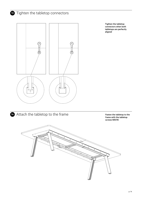#### <sup>13</sup> Tighten the tabletop connectors

![](_page_13_Picture_1.jpeg)

Tighten the tabletop connectors when both tabletops are perfectly aligned

![](_page_13_Picture_3.jpeg)

14 Attach the tabletop to the frame Fasten the tabletop to the

frame with the tabletop screws M5X16

![](_page_13_Picture_6.jpeg)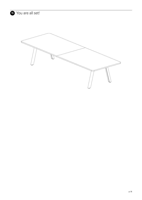![](_page_14_Picture_0.jpeg)

![](_page_14_Picture_1.jpeg)